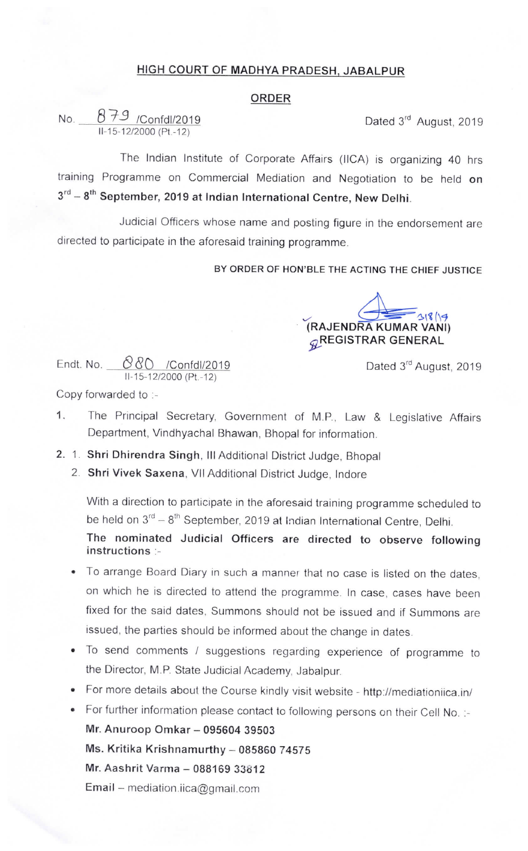## HIGH COURT OF MADHYA PRADESH, JABALPUR

## ORDER

No.  $879$  /Confdl/2019 Dated 3<sup>rd</sup> August, 2019  $II - 15 - 12/2000$  (Pt. - 12)

The Indian Institute of Corporate Affairs (IICA) is organizing 40 hrs training Programme on Commercial Mediation and Negotiation to be held on  $3<sup>rd</sup> - 8<sup>th</sup>$  September, 2019 at Indian International Centre, New Delhi.

Judicial Officers whose name and posting figure in the endorsement are directed to participate in the aforesaid training programme.

BY ORDER OF HON'BLE THE ACTING THE CHIEF JUSTICE

(RAJENDRA KUMAR VANI)  $q$ REGISTRAR GENERAL

Dated 3<sup>rd</sup> August, 2019

Endt. No. ®8C) /Confdl/2019 II-15-12/2000 (Pt.-12)

Copy forwarded to :-

- 1. The Principal Secretary, Government of M.P., Law & Legislative Affairs Department, Vindhyachal Bhawan, Bhopal for information.
- 2. 1. Shri Dhirendra Singh, III Additional District Judge, Bhopal
	- 2. Shri Vivek Saxena, Vll Additional District Judge, lndore

With a direction to participate in the aforesaid training programme scheduled to be held on  $3^{rd} - 8^{th}$  September, 2019 at Indian International Centre, Delhi.

The nominated Judicial Officers are directed to observe following instructions :-

- To arrange Board Diary in such a manner that no case is listed on the dates, on which he is directed to attend the programme. In case, cases have been fixed for the said dates, Summons should not be issued and if Summons are issued, the parties should be informed about the change in dates.
- To send comments / suggestions regarding experience of programme to the Director, M.P. State Judicial Academy, Jabalpur.
- For more details about the Course kindly visit website -http://mediationiica.in/

• For further information please contact to following persons on their Cell No. :-Mr. Anuroop Omkar - 095604 39503 Ms. Kritika Krishnamurthy - 085860 74575 Mr. Aashrit Varma - 088169 33812 Email - mediation.iica@gmail.com